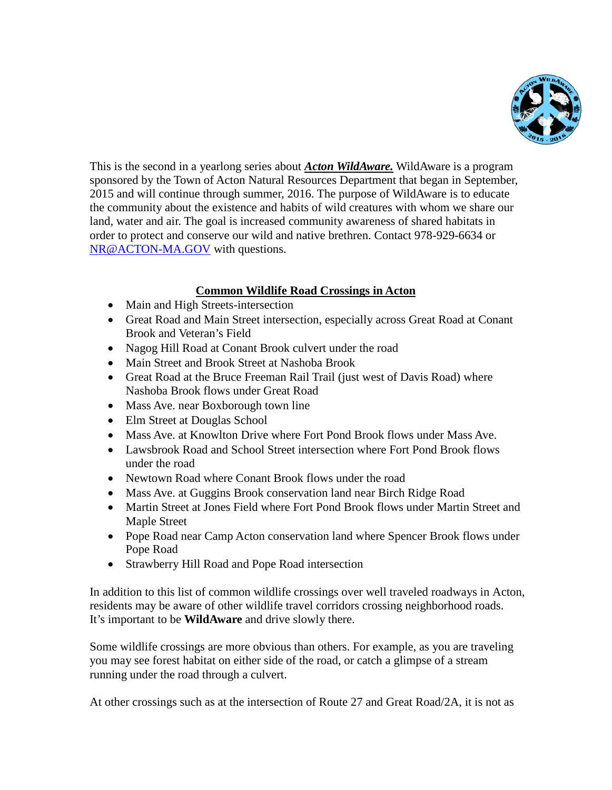

This is the second in a yearlong series about *Acton WildAware.* WildAware is a program sponsored by the Town of Acton Natural Resources Department that began in September, 2015 and will continue through summer, 2016. The purpose of WildAware is to educate the community about the existence and habits of wild creatures with whom we share our land, water and air. The goal is increased community awareness of shared habitats in order to protect and conserve our wild and native brethren. Contact 978-929-6634 or [NR@ACTON-MA.GOV](mailto:NR@ACTON-MA.GOV) with questions.

## **Common Wildlife Road Crossings in Acton**

- Main and High Streets-intersection
- Great Road and Main Street intersection, especially across Great Road at Conant Brook and Veteran's Field
- Nagog Hill Road at Conant Brook culvert under the road
- Main Street and Brook Street at Nashoba Brook
- Great Road at the Bruce Freeman Rail Trail (just west of Davis Road) where Nashoba Brook flows under Great Road
- Mass Ave. near Boxborough town line
- Elm Street at Douglas School
- Mass Ave. at Knowlton Drive where Fort Pond Brook flows under Mass Ave.
- Lawsbrook Road and School Street intersection where Fort Pond Brook flows under the road
- Newtown Road where Conant Brook flows under the road
- Mass Ave. at Guggins Brook conservation land near Birch Ridge Road
- Martin Street at Jones Field where Fort Pond Brook flows under Martin Street and Maple Street
- Pope Road near Camp Acton conservation land where Spencer Brook flows under Pope Road
- Strawberry Hill Road and Pope Road intersection

In addition to this list of common wildlife crossings over well traveled roadways in Acton, residents may be aware of other wildlife travel corridors crossing neighborhood roads. It's important to be **WildAware** and drive slowly there.

Some wildlife crossings are more obvious than others. For example, as you are traveling you may see forest habitat on either side of the road, or catch a glimpse of a stream running under the road through a culvert.

At other crossings such as at the intersection of Route 27 and Great Road/2A, it is not as